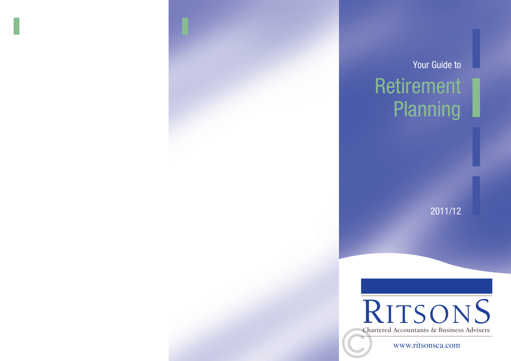# Retirement **Planning** Your Guide to

2011/12



www.ritsonsca.com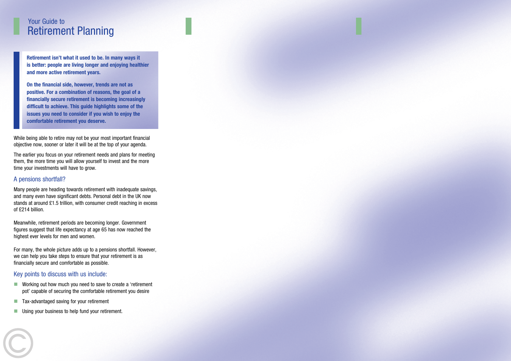### Retirement Planning Your Guide to

**Retirement isn't what it used to be. In many ways it is better: people are living longer and enjoying healthier and more active retirement years.** 

**On the financial side, however, trends are not as positive. For a combination of reasons, the goal of a financially secure retirement is becoming increasingly difficult to achieve. This guide highlights some of the issues you need to consider if you wish to enjoy the comfortable retirement you deserve.**

While being able to retire may not be your most important financial objective now, sooner or later it will be at the top of your agenda.

The earlier you focus on your retirement needs and plans for meeting them, the more time you will allow yourself to invest and the more time your investments will have to grow.

#### A pensions shortfall?

Many people are heading towards retirement with inadequate savings, and many even have significant debts. Personal debt in the UK now stands at around £1.5 trillion, with consumer credit reaching in excess of £214 billion.

Meanwhile, retirement periods are becoming longer. Government figures suggest that life expectancy at age 65 has now reached the highest ever levels for men and women.

For many, the whole picture adds up to a pensions shortfall. However, we can help you take steps to ensure that your retirement is as financially secure and comfortable as possible.

#### Key points to discuss with us include:

- Working out how much you need to save to create a 'retirement pot' capable of securing the comfortable retirement you desire
- Tax-advantaged saving for your retirement
- Using your business to help fund your retirement.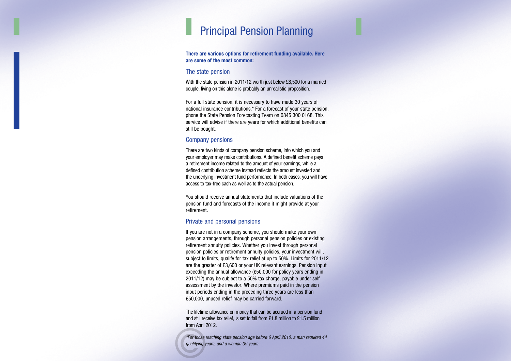### Principal Pension Planning

#### **There are various options for retirement funding available. Here are some of the most common:**

#### The state pension

With the state pension in 2011/12 worth just below £8,500 for a married couple, living on this alone is probably an unrealistic proposition.

For a full state pension, it is necessary to have made 30 years of national insurance contributions.\* For a forecast of your state pension, phone the State Pension Forecasting Team on 0845 300 0168. This service will advise if there are years for which additional benefits can still be bought.

#### Company pensions

There are two kinds of company pension scheme, into which you and your employer may make contributions. A defined benefit scheme pays a retirement income related to the amount of your earnings, while a defined contribution scheme instead reflects the amount invested and the underlying investment fund performance. In both cases, you will have access to tax-free cash as well as to the actual pension.

You should receive annual statements that include valuations of the pension fund and forecasts of the income it might provide at your retirement.

#### Private and personal pensions

If you are not in a company scheme, you should make your own pension arrangements, through personal pension policies or existing retirement annuity policies. Whether you invest through personal pension policies or retirement annuity policies, your investment will, subject to limits, qualify for tax relief at up to 50%. Limits for 2011/12 are the greater of £3,600 or your UK relevant earnings. Pension input exceeding the annual allowance (£50,000 for policy years ending in 2011/12) may be subject to a 50% tax charge, payable under self assessment by the investor. Where premiums paid in the pension input periods ending in the preceding three years are less than £50,000, unused relief may be carried forward.

The lifetime allowance on money that can be accrued in a pension fund and still receive tax relief, is set to fall from £1.8 million to £1.5 million from April 2012.

*\*For those reaching state pension age before 6 April 2010, a man required 44*<br>qualifying years, and a woman 39 years. *qualifying years, and a woman 39 years.*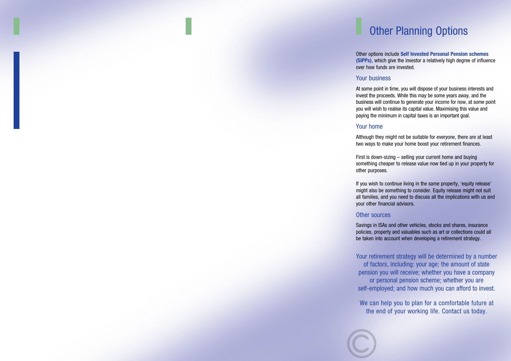## Other Planning Options

Other options include **Self Invested Personal Pension schemes (SIPPs)**, which give the investor a relatively high degree of influence over how funds are invested.

#### Your business

At some point in time, you will dispose of your business interests and invest the proceeds. While this may be some years away, and the business will continue to generate your income for now, at some point you will wish to realise its capital value. Maximising this value and paying the minimum in capital taxes is an important goal.

#### Your home

Although they might not be suitable for everyone, there are at least two ways to make your home boost your retirement finances.

First is down-sizing – selling your current home and buying something cheaper to release value now tied up in your property for other purposes.

If you wish to continue living in the same property, 'equity release' might also be something to consider. Equity release might not suit all families, and you need to discuss all the implications with us and your other financial advisors.

#### Other sources

Savings in ISAs and other vehicles, stocks and shares, insurance policies, property and valuables such as art or collections could all be taken into account when developing a retirement strategy.

Your retirement strategy will be determined by a number of factors, including: your age; the amount of state pension you will receive; whether you have a company or personal pension scheme; whether you are self-employed; and how much you can afford to invest.

We can help you to plan for a comfortable future at the end of your working life. Contact us today.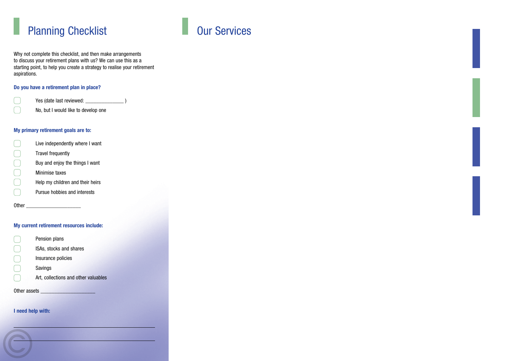

Why not complete this checklist, and then make arrangements to discuss your retirement plans with us? We can use this as a starting point, to help you create a strategy to realise your retirement aspirations.

#### **Do you have a retirement plan in place?**

Yes (date last reviewed: \_\_\_\_\_\_\_\_\_\_\_\_\_\_ )

No, but I would like to develop one

#### **My primary retirement goals are to:**

L Live independently where I want COOC Travel frequently Buy and enjoy the things I want Minimise taxes Help my children and their heirs Pursue hobbies and interests

Other \_\_\_\_\_\_\_\_\_\_\_\_\_\_\_\_\_\_\_\_

#### **My current retirement resources include:**

| Pension plans                        |
|--------------------------------------|
| <b>ISAs, stocks and shares</b>       |
| Insurance policies                   |
| Savings                              |
| Art, collections and other valuables |
|                                      |

Other assets

C

#### **I need help with:**